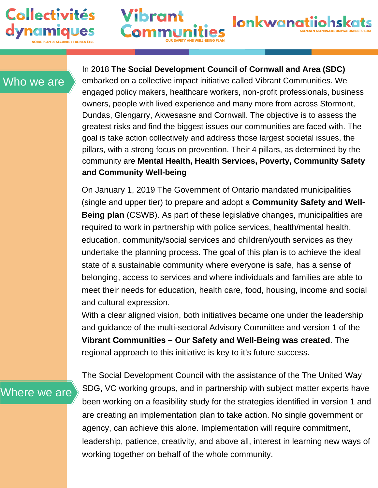

Who we are

In 2018 **The Social Development Council of Cornwall and Area (SDC)** embarked on a collective impact initiative called Vibrant Communities. We engaged policy makers, healthcare workers, non-profit professionals, business owners, people with lived experience and many more from across Stormont, Dundas, Glengarry, Akwesasne and Cornwall. The objective is to assess the greatest risks and find the biggest issues our communities are faced with. The goal is take action collectively and address those largest societal issues, the pillars, with a strong focus on prevention. Their 4 pillars, as determined by the community are **Mental Health, Health Services, Poverty, Community Safety and Community Well-being**

**lonkwanatiiohsk** 

Vibrant

On January 1, 2019 The Government of Ontario mandated municipalities (single and upper tier) to prepare and adopt a **Community Safety and Well-Being plan** (CSWB). As part of these legislative changes, municipalities are required to work in partnership with police services, health/mental health, education, community/social services and children/youth services as they undertake the planning process. The goal of this plan is to achieve the ideal state of a sustainable community where everyone is safe, has a sense of belonging, access to services and where individuals and families are able to meet their needs for education, health care, food, housing, income and social and cultural expression.

With a clear aligned vision, both initiatives became one under the leadership and guidance of the multi-sectoral Advisory Committee and version 1 of the **Vibrant Communities – Our Safety and Well-Being was created**. The regional approach to this initiative is key to it's future success.

Where we are

The Social Development Council with the assistance of the The United Way SDG, VC working groups, and in partnership with subject matter experts have been working on a feasibility study for the strategies identified in version 1 and are creating an implementation plan to take action. No single government or agency, can achieve this alone. Implementation will require commitment, leadership, patience, creativity, and above all, interest in learning new ways of working together on behalf of the whole community.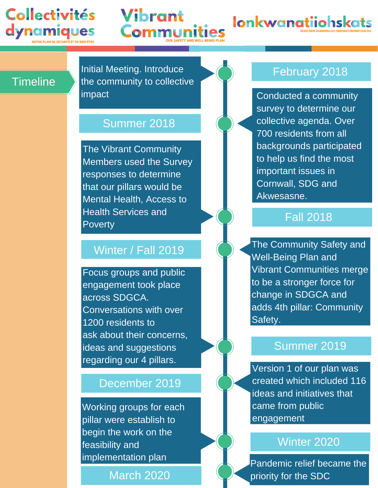# **Collectivités** dynamiques

# **Vibrant** Comr

**Ionkwanatiiohskats** 

## **Timeline**

Initial Meeting. Introduce the community to collective impact

### Summer 2018

The Vibrant Community Members used the Survey responses to determine that our pillars would be Mental Health, Access to Health Services and **Poverty** 

# Winter / Fall 2019

Focus groups and public engagement took place across SDGCA. Conversations with over 1200 residents to ask about their concerns, ideas and suggestions regarding our 4 pillars.

# December 2019

Working groups for each pillar were establish to begin the work on the feasibility and implementation plan

March 2020

# February 2018

Conducted a community survey to determine our collective agenda. Over 700 residents from all backgrounds participated to help us find the most important issues in Cornwall, SDG and Akwesasne.

## Fall 2018

The Community Safety and Well-Being Plan and Vibrant Communities merge to be a stronger force for change in SDGCA and adds 4th pillar: Community Safety.

## Summer 2019

Version 1 of our plan was created which included 116 ideas and initiatives that came from public engagement

#### Winter 2020

Pandemic relief became the priority for the SDC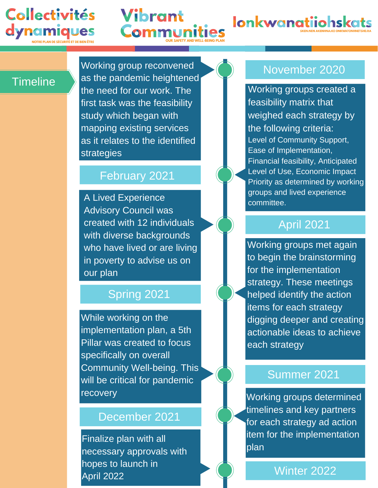# **Collectivités** dynamiques





#### **Timeline**

Working group reconvened as the pandemic heightened the need for our work. The first task was the feasibility study which began with mapping existing services as it relates to the identified strategies

**Vibrant** 

Com

## February 2021

A Lived Experience Advisory Council was created with 12 individuals with diverse backgrounds who have lived or are living in poverty to advise us on our plan

# Spring 2021

While working on the implementation plan, a 5th Pillar was created to focus specifically on overall Community Well-being. This will be critical for pandemic recovery

#### December 2021

Finalize plan with all necessary approvals with hopes to launch in April 2022

# November 2020

Working groups created a feasibility matrix that weighed each strategy by the following criteria: Level of Community Support, Ease of Implementation, Financial feasibility, Anticipated Level of Use, Economic Impact Priority as determined by working groups and lived experience committee.

# April 2021

Working groups met again to begin the brainstorming for the implementation strategy. These meetings helped identify the action items for each strategy digging deeper and creating actionable ideas to achieve each strategy

## Summer 2021

Working groups determined timelines and key partners for each strategy ad action item for the implementation plan

Winter 2022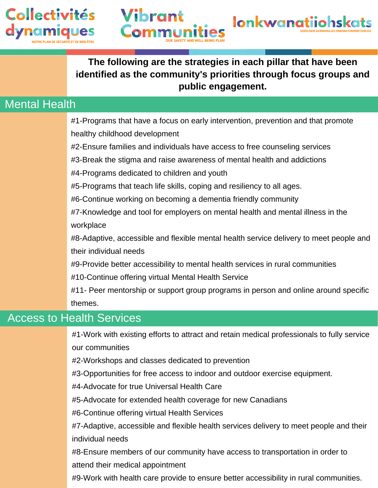



### **The following are the strategies in each pillar that have been identified as the community's priorities through focus groups and public engagement.**

## Mental Health

#1-Programs that have a focus on early intervention, prevention and that promote healthy childhood development

#2-Ensure families and individuals have access to free counseling services

#3-Break the stigma and raise awareness of mental health and addictions

#4-Programs dedicated to children and youth

Comr

#5-Programs that teach life skills, coping and resiliency to all ages.

#6-Continue working on becoming a dementia friendly community

#7-Knowledge and tool for employers on mental health and mental illness in the workplace

#8-Adaptive, accessible and flexible mental health service delivery to meet people and their individual needs

#9-Provide better accessibility to mental health services in rural communities

#10-Continue offering virtual Mental Health Service

#11- Peer mentorship or support group programs in person and online around specific themes.

## Access to Health Services

#1-Work with existing efforts to attract and retain medical professionals to fully service our communities

#2-Workshops and classes dedicated to prevention

#3-Opportunities for free access to indoor and outdoor exercise equipment.

#4-Advocate for true Universal Health Care

#5-Advocate for extended health coverage for new Canadians

#6-Continue offering virtual Health Services

#7-Adaptive, accessible and flexible health services delivery to meet people and their individual needs

#8-Ensure members of our community have access to transportation in order to attend their medical appointment

#9-Work with health care provide to ensure better accessibility in rural communities.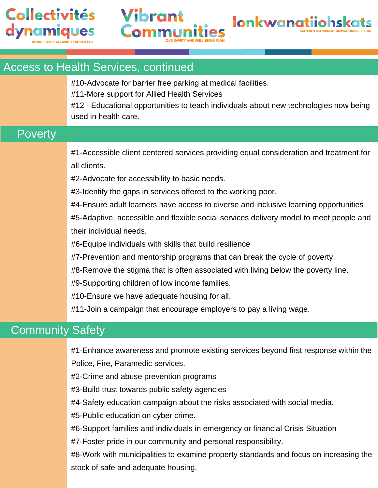



#### Access to Health Services, continued

#10-Advocate for barrier free parking at medical facilities.

#11-More support for Allied Health Services

Vibrant

#12 - Educational opportunities to teach individuals about new technologies now being used in health care.

### **Poverty**

#1-Accessible client centered services providing equal consideration and treatment for all clients.

#2-Advocate for accessibility to basic needs.

#3-Identify the gaps in services offered to the working poor.

#4-Ensure adult learners have access to diverse and inclusive learning opportunities

#5-Adaptive, accessible and flexible social services delivery model to meet people and their individual needs.

#6-Equipe individuals with skills that build resilience

#7-Prevention and mentorship programs that can break the cycle of poverty.

#8-Remove the stigma that is often associated with living below the poverty line.

#9-Supporting children of low income families.

#10-Ensure we have adequate housing for all.

#11-Join a campaign that encourage employers to pay a living wage.

## Community Safety

#1-Enhance awareness and promote existing services beyond first response within the Police, Fire, Paramedic services.

#2-Crime and abuse prevention programs

#3-Build trust towards public safety agencies

#4-Safety education campaign about the risks associated with social media.

#5-Public education on cyber crime.

#6-Support families and individuals in emergency or financial Crisis Situation

#7-Foster pride in our community and personal responsibility.

#8-Work with municipalities to examine property standards and focus on increasing the stock of safe and adequate housing.